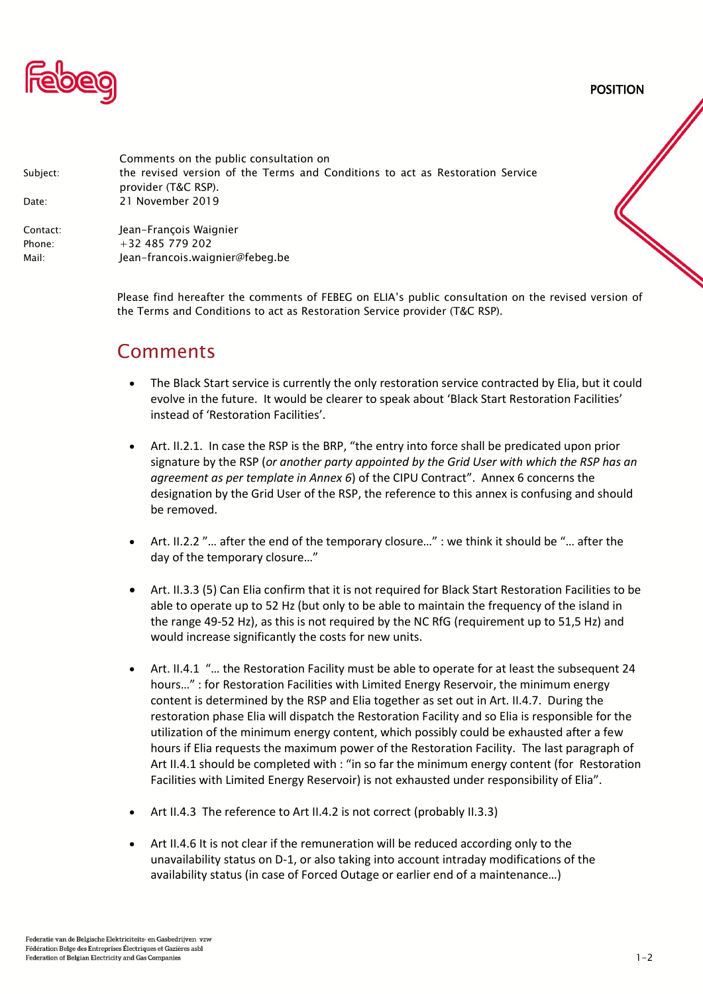

POSITION

| Subject: | Comments on the public consultation on<br>the revised version of the Terms and Conditions to act as Restoration Service |
|----------|-------------------------------------------------------------------------------------------------------------------------|
|          | provider (T&C RSP).                                                                                                     |
|          |                                                                                                                         |
| Contact: | Jean-François Waignier                                                                                                  |
| Phone:   | $+32$ 485 779 202                                                                                                       |
| Mail:    | Jean-francois.waignier@febeg.be                                                                                         |
|          |                                                                                                                         |
| Date:    | 21 November 2019                                                                                                        |

Please find hereafter the comments of FEBEG on ELIA's public consultation on the revised version of the Terms and Conditions to act as Restoration Service provider (T&C RSP).

## Comments

- The Black Start service is currently the only restoration service contracted by Elia, but it could evolve in the future. It would be clearer to speak about 'Black Start Restoration Facilities' instead of 'Restoration Facilities'.
- Art. II.2.1. In case the RSP is the BRP, "the entry into force shall be predicated upon prior signature by the RSP (*or another party appointed by the Grid User with which the RSP has an agreement as per template in Annex 6*) of the CIPU Contract". Annex 6 concerns the designation by the Grid User of the RSP, the reference to this annex is confusing and should be removed.
- Art. II.2.2 "… after the end of the temporary closure…" : we think it should be "… after the day of the temporary closure…"
- Art. II.3.3 (5) Can Elia confirm that it is not required for Black Start Restoration Facilities to be able to operate up to 52 Hz (but only to be able to maintain the frequency of the island in the range 49-52 Hz), as this is not required by the NC RfG (requirement up to 51,5 Hz) and would increase significantly the costs for new units.
- Art. II.4.1 "… the Restoration Facility must be able to operate for at least the subsequent 24 hours…" : for Restoration Facilities with Limited Energy Reservoir, the minimum energy content is determined by the RSP and Elia together as set out in Art. II.4.7. During the restoration phase Elia will dispatch the Restoration Facility and so Elia is responsible for the utilization of the minimum energy content, which possibly could be exhausted after a few hours if Elia requests the maximum power of the Restoration Facility. The last paragraph of Art II.4.1 should be completed with : "in so far the minimum energy content (for Restoration Facilities with Limited Energy Reservoir) is not exhausted under responsibility of Elia".
- Art II.4.3 The reference to Art II.4.2 is not correct (probably II.3.3)
- Art II.4.6 It is not clear if the remuneration will be reduced according only to the unavailability status on D-1, or also taking into account intraday modifications of the availability status (in case of Forced Outage or earlier end of a maintenance…)